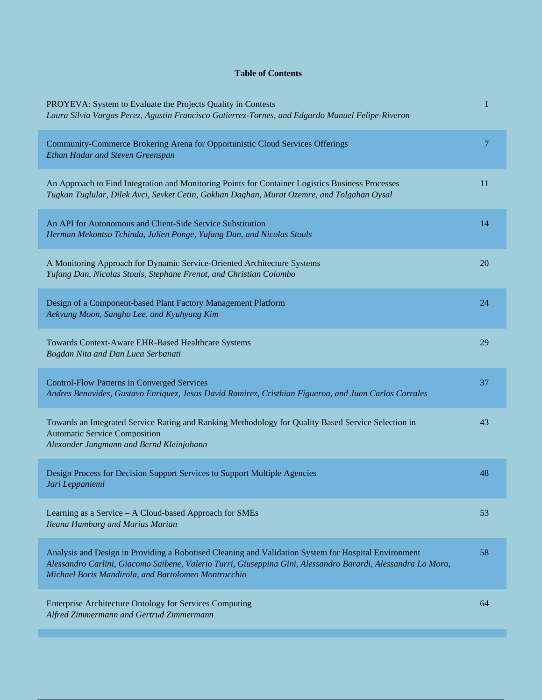## **Table of Contents**

| PROYEVA: System to Evaluate the Projects Quality in Contests<br>Laura Silvia Vargas Perez, Agustin Francisco Gutierrez-Tornes, and Edgardo Manuel Felipe-Riveron                                                                                                            | 1  |
|-----------------------------------------------------------------------------------------------------------------------------------------------------------------------------------------------------------------------------------------------------------------------------|----|
| Community-Commerce Brokering Arena for Opportunistic Cloud Services Offerings<br>Ethan Hadar and Steven Greenspan                                                                                                                                                           | 7  |
| An Approach to Find Integration and Monitoring Points for Container Logistics Business Processes<br>Tugkan Tuglular, Dilek Avci, Sevket Cetin, Gokhan Daghan, Murat Ozemre, and Tolgahan Oysal                                                                              | 11 |
| An API for Autonomous and Client-Side Service Substitution<br>Herman Mekontso Tchinda, Julien Ponge, Yufang Dan, and Nicolas Stouls                                                                                                                                         | 14 |
| A Monitoring Approach for Dynamic Service-Oriented Architecture Systems<br>Yufang Dan, Nicolas Stouls, Stephane Frenot, and Christian Colombo                                                                                                                               | 20 |
| Design of a Component-based Plant Factory Management Platform<br>Aekyung Moon, Sangho Lee, and Kyuhyung Kim                                                                                                                                                                 | 24 |
| Towards Context-Aware EHR-Based Healthcare Systems<br>Bogdan Nita and Dan Luca Serbanati                                                                                                                                                                                    | 29 |
| <b>Control-Flow Patterns in Converged Services</b><br>Andres Benavides, Gustavo Enriquez, Jesus David Ramirez, Cristhian Figueroa, and Juan Carlos Corrales                                                                                                                 | 37 |
| Towards an Integrated Service Rating and Ranking Methodology for Quality Based Service Selection in<br><b>Automatic Service Composition</b><br>Alexander Jungmann and Bernd Kleinjohann                                                                                     | 43 |
| Design Process for Decision Support Services to Support Multiple Agencies<br>Jari Leppaniemi                                                                                                                                                                                | 48 |
| Learning as a Service – A Cloud-based Approach for SMEs<br>Ileana Hamburg and Marius Marian                                                                                                                                                                                 | 53 |
| Analysis and Design in Providing a Robotised Cleaning and Validation System for Hospital Environment<br>Alessandro Carlini, Giacomo Saibene, Valerio Turri, Giuseppina Gini, Alessandro Barardi, Alessandra Lo Moro,<br>Michael Boris Mandirola, and Bartolomeo Montrucchio | 58 |
| <b>Enterprise Architecture Ontology for Services Computing</b><br>Alfred Zimmermann and Gertrud Zimmermann                                                                                                                                                                  | 64 |